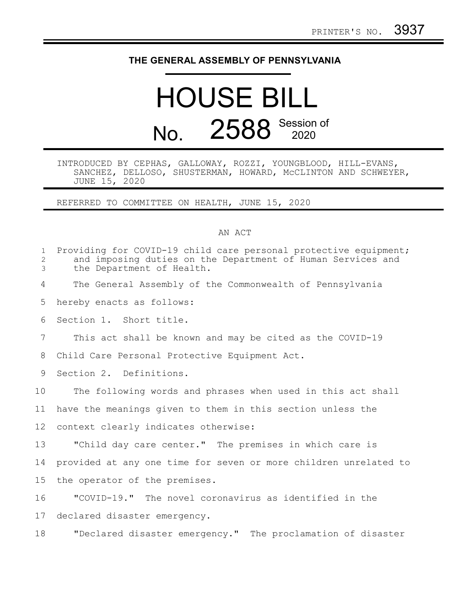## **THE GENERAL ASSEMBLY OF PENNSYLVANIA**

## HOUSE BILL No. 2588 Session of

INTRODUCED BY CEPHAS, GALLOWAY, ROZZI, YOUNGBLOOD, HILL-EVANS, SANCHEZ, DELLOSO, SHUSTERMAN, HOWARD, McCLINTON AND SCHWEYER, JUNE 15, 2020

REFERRED TO COMMITTEE ON HEALTH, JUNE 15, 2020

## AN ACT

| $\mathbf{1}$<br>2<br>3 | Providing for COVID-19 child care personal protective equipment;<br>and imposing duties on the Department of Human Services and<br>the Department of Health. |
|------------------------|--------------------------------------------------------------------------------------------------------------------------------------------------------------|
| 4                      | The General Assembly of the Commonwealth of Pennsylvania                                                                                                     |
| 5                      | hereby enacts as follows:                                                                                                                                    |
| 6                      | Section 1. Short title.                                                                                                                                      |
| 7                      | This act shall be known and may be cited as the COVID-19                                                                                                     |
| 8                      | Child Care Personal Protective Equipment Act.                                                                                                                |
| 9                      | Section 2. Definitions.                                                                                                                                      |
| 10 <sub>o</sub>        | The following words and phrases when used in this act shall                                                                                                  |
| 11                     | have the meanings given to them in this section unless the                                                                                                   |
| 12                     | context clearly indicates otherwise:                                                                                                                         |
| 13                     | "Child day care center." The premises in which care is                                                                                                       |
| 14                     | provided at any one time for seven or more children unrelated to                                                                                             |
| 15 <sub>1</sub>        | the operator of the premises.                                                                                                                                |
| 16                     | "COVID-19." The novel coronavirus as identified in the                                                                                                       |
| 17                     | declared disaster emergency.                                                                                                                                 |
| 18                     | "Declared disaster emergency." The proclamation of disaster                                                                                                  |
|                        |                                                                                                                                                              |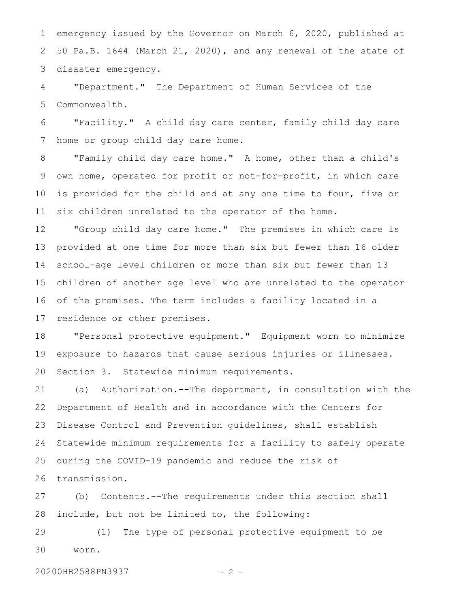emergency issued by the Governor on March 6, 2020, published at 50 Pa.B. 1644 (March 21, 2020), and any renewal of the state of disaster emergency. 1 2 3

"Department." The Department of Human Services of the Commonwealth. 4 5

"Facility." A child day care center, family child day care home or group child day care home. 6 7

"Family child day care home." A home, other than a child's own home, operated for profit or not-for-profit, in which care is provided for the child and at any one time to four, five or six children unrelated to the operator of the home. 8 9 10 11

"Group child day care home." The premises in which care is provided at one time for more than six but fewer than 16 older school-age level children or more than six but fewer than 13 children of another age level who are unrelated to the operator of the premises. The term includes a facility located in a residence or other premises. 12 13 14 15 16 17

"Personal protective equipment." Equipment worn to minimize exposure to hazards that cause serious injuries or illnesses. Section 3. Statewide minimum requirements. 18 19 20

(a) Authorization.--The department, in consultation with the Department of Health and in accordance with the Centers for Disease Control and Prevention guidelines, shall establish Statewide minimum requirements for a facility to safely operate during the COVID-19 pandemic and reduce the risk of transmission. 21 22 23 24 25 26

(b) Contents.--The requirements under this section shall include, but not be limited to, the following: 27 28

(1) The type of personal protective equipment to be worn. 29 30

20200HB2588PN3937 - 2 -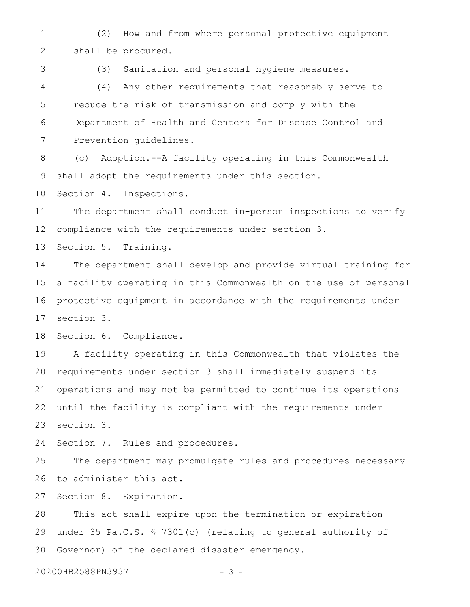(2) How and from where personal protective equipment shall be procured. 1 2

3

(3) Sanitation and personal hygiene measures.

(4) Any other requirements that reasonably serve to reduce the risk of transmission and comply with the Department of Health and Centers for Disease Control and Prevention guidelines. 4 5 6 7

(c) Adoption.--A facility operating in this Commonwealth shall adopt the requirements under this section. 8 9

Section 4. Inspections. 10

The department shall conduct in-person inspections to verify compliance with the requirements under section 3. 11 12

Section 5. Training. 13

The department shall develop and provide virtual training for a facility operating in this Commonwealth on the use of personal protective equipment in accordance with the requirements under section 3. 14 15 16 17

Section 6. Compliance. 18

A facility operating in this Commonwealth that violates the requirements under section 3 shall immediately suspend its operations and may not be permitted to continue its operations until the facility is compliant with the requirements under section 3. 19 20 21 22 23

Section 7. Rules and procedures. 24

The department may promulgate rules and procedures necessary to administer this act. 25 26

Section 8. Expiration. 27

This act shall expire upon the termination or expiration under 35 Pa.C.S. § 7301(c) (relating to general authority of Governor) of the declared disaster emergency. 28 29 30

20200HB2588PN3937 - 3 -